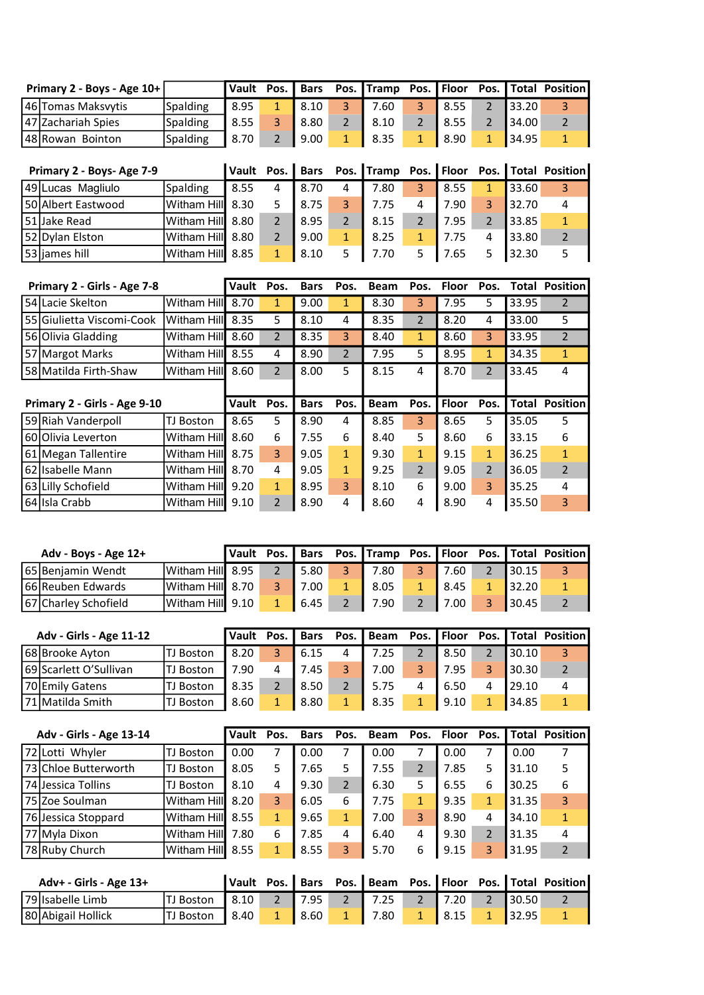| Primary 2 - Boys - Age $10+$ |          |      |      |      |      |                |              | Vault Pos. Bars Pos. Tramp Pos. Floor Pos. Total Position |
|------------------------------|----------|------|------|------|------|----------------|--------------|-----------------------------------------------------------|
| 46 Tomas Maksvytis           | Spalding | 8.95 | 8.10 | 7.60 | 8.55 |                | 133.20       |                                                           |
| 147 Zachariah Spies          | Spalding | 8.55 | 8.80 | 8.10 | 8.55 |                | <b>34.00</b> |                                                           |
| 48 Rowan Bointon             | Spalding | 8.70 | 9.00 | 8.35 | 8.90 | $\blacksquare$ | 34.95        |                                                           |

| Primary 2 - Boys- Age 7-9 |                  | Vault |   |      |   |      |   |      |   |       | Pos.   Bars Pos. Tramp Pos.   Floor Pos.   Total Position |
|---------------------------|------------------|-------|---|------|---|------|---|------|---|-------|-----------------------------------------------------------|
| 49 Lucas Magliulo         | Spalding         | 8.55  | 4 | 8.70 | 4 | 7.80 | 3 | 8.55 |   | 33.60 | 3                                                         |
| 50 Albert Eastwood        | Witham Hill      | 8.30  |   | 8.75 |   | 7.75 | 4 | 7.90 | 3 | 32.70 |                                                           |
| 51Jake Read               | Witham Hill 8.80 |       |   | 8.95 |   | 8.15 |   | 7.95 |   | 33.85 |                                                           |
| 52 Dylan Elston           | Witham Hill      | 8.80  |   | 9.00 | 1 | 8.25 |   | 7.75 | 4 | 33.80 |                                                           |
| 53 ljames hill            | Witham Hill      | 8.85  |   | 8.10 |   | 7.70 |   | 7.65 |   | 32.30 |                                                           |

| Primary 2 - Girls - Age 7-8  |                       | Vault | Pos.                     | <b>Bars</b> | Pos.           | <b>Beam</b> | Pos.           | <b>Floor</b> | Pos.          | Total        | <b>Position</b> |
|------------------------------|-----------------------|-------|--------------------------|-------------|----------------|-------------|----------------|--------------|---------------|--------------|-----------------|
| l 54l Lacie Skelton          | Witham Hill           | 8.70  | 1                        | 9.00        | 1              | 8.30        | 3              | 7.95         | 5             | 33.95        | 2               |
| 55 Giulietta Viscomi-Cook    | lWitham Hill <b>l</b> | 8.35  | 5.                       | 8.10        | 4              | 8.35        | $\overline{2}$ | 8.20         | 4             | 33.00        | 5.              |
| 56 Olivia Gladding           | Witham Hill           | 8.60  | $\overline{2}$           | 8.35        | 3              | 8.40        | $\mathbf{1}$   | 8.60         | 3             | 33.95        | $\mathcal{P}$   |
| 57 Margot Marks              | Witham Hill           | 8.55  | 4                        | 8.90        | $\overline{2}$ | 7.95        | 5              | 8.95         | 1             | 34.35        | 1               |
| 58 Matilda Firth-Shaw        | Witham Hill           | 8.60  | $\overline{\phantom{a}}$ | 8.00        | 5              | 8.15        | 4              | 8.70         | $\mathcal{P}$ | 33.45        | 4               |
|                              |                       |       |                          |             |                |             |                |              |               |              |                 |
|                              |                       |       |                          |             |                |             |                |              |               |              |                 |
| Primary 2 - Girls - Age 9-10 |                       | Vault | Pos.                     | <b>Bars</b> | Pos.           | <b>Beam</b> | Pos.           | <b>Floor</b> | Pos.          | <b>Total</b> | <b>Position</b> |
| 59 Riah Vanderpoll           | TJ Boston             | 8.65  | 5                        | 8.90        | 4              | 8.85        | 3              | 8.65         | 5             | 35.05        | 5               |
| 60 Olivia Leverton           | Witham Hill           | 8.60  | 6                        | 7.55        | 6              | 8.40        | 5              | 8.60         | 6             | 33.15        | 6               |
| 61 Megan Tallentire          | Witham Hill           | 8.75  | 3                        | 9.05        | $\mathbf{1}$   | 9.30        | $\mathbf{1}$   | 9.15         | 1             | 36.25        | $\mathbf{1}$    |
| 62 Isabelle Mann             | Witham Hill           | 8.70  | 4                        | 9.05        | $\mathbf{1}$   | 9.25        | $\overline{2}$ | 9.05         | $\mathcal{P}$ | 36.05        | $\mathcal{P}$   |
| 63 Lilly Schofield           | Witham Hill           | 9.20  | $\mathbf{1}$             | 8.95        | 3              | 8.10        | 6              | 9.00         | 3             | 35.25        | 4               |

| Adv - Boys - Age 12+ |                            | Vault | Pos. |      |      |      |   |        | Bars Pos. Tramp Pos. Floor Pos. Total Position |
|----------------------|----------------------------|-------|------|------|------|------|---|--------|------------------------------------------------|
| 65 Beniamin Wendt    | IWitham Hill <b>l</b> 8.95 |       |      | 5.80 | 7.80 | 7.60 |   | 130.15 |                                                |
| 66 Reuben Edwards    | IWitham Hill <b>l</b> 8.70 |       |      | 7.00 | 8.05 | 8.45 |   | 32.20  |                                                |
| 67 Charley Schofield | IWitham Hill <b>l</b> 9.10 |       |      | 6.45 | 7.90 | 7.00 | 3 | 30.45  |                                                |

| <b>Adv - Girls - Age 11-12</b> |        | Vault | Pos. | <b>Bars</b> |   | Pos. I Beam |   | Pos.   Floor | Pos. I |       | Total Position |
|--------------------------------|--------|-------|------|-------------|---|-------------|---|--------------|--------|-------|----------------|
| 68 Brooke Ayton                | Boston | 8.20  |      | 6.15        | 4 | 7.25        |   | 8.50         |        | 30.10 |                |
| 69 Scarlett O'Sullivan         | Boston | 7.90  |      | 7.45        |   | 7.00        | Q | 7.95         |        | 30.30 |                |
| 70 Emily Gatens                | Boston | 8.35  |      | 8.50        |   | 5.75        | 4 | 6.50         |        | 29.10 |                |
| 71 Matilda Smith               | Boston | 8.60  |      | 8.80        |   | 8.35        |   | 9.10         | 1      | 34.85 |                |

| <b>Adv - Girls - Age 13-14</b> |              | Vault | Pos. | <b>Bars</b> | Pos.           | <b>Beam</b> | Pos.           | Floor | Pos. | Total | <b>Position</b> |
|--------------------------------|--------------|-------|------|-------------|----------------|-------------|----------------|-------|------|-------|-----------------|
| 72 Lotti Whyler                | Boston       | 0.00  |      | 0.00        |                | 0.00        |                | 0.00  |      | 0.00  |                 |
| 73 Chloe Butterworth           | Boston<br>ΤJ | 8.05  |      | 7.65        | 5              | 7.55        | $\overline{2}$ | 7.85  | 5    | 31.10 | 5               |
| 74 Jessica Tollins             | Boston<br>ΤI | 8.10  | 4    | 9.30        | $\overline{2}$ | 6.30        | 5              | 6.55  | 6    | 30.25 | 6               |
| 75 Zoe Soulman                 | Witham Hill  | 8.20  | 3    | 6.05        | 6              | 7.75        | $\mathbf{1}$   | 9.35  | 1    | 31.35 | 3               |
| 76 Jessica Stoppard            | Witham Hill  | 8.55  | 1    | 9.65        | 1              | 7.00        | 3              | 8.90  | 4    | 34.10 | $\mathbf{1}$    |
| 77 Myla Dixon                  | Witham Hill  | 7.80  | 6    | 7.85        | 4              | 6.40        | 4              | 9.30  | 2    | 31.35 | 4               |
| 78 Ruby Church                 | Witham Hill  | 8.55  | 1    | 8.55        | 3              | 5.70        | 6              | 9.15  | 3    | 31.95 | $\overline{2}$  |

| Adv+ - Girls - Age 13+ |                  |  |              |      |             |                     | Vault Pos. Bars Pos. Beam Pos. Floor Pos. Total Position |
|------------------------|------------------|--|--------------|------|-------------|---------------------|----------------------------------------------------------|
| 79 Isabelle Limb       | TJ Boston   8.10 |  |              | 7.25 | 2 7.20      | $2$ 30.50           |                                                          |
| 80 Abigail Hollick     | TJ Boston   8.40 |  | $\vert$ 8.60 | 7.80 | $1 \t 8.15$ | $1 \mid 32.95 \mid$ |                                                          |